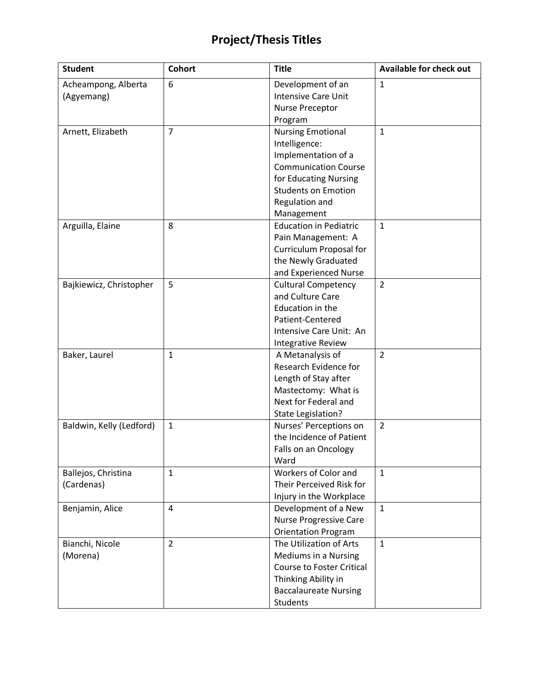| <b>Student</b>           | <b>Cohort</b>  | <b>Title</b>                     | <b>Available for check out</b> |
|--------------------------|----------------|----------------------------------|--------------------------------|
| Acheampong, Alberta      | 6              | Development of an                | $\mathbf{1}$                   |
| (Agyemang)               |                | <b>Intensive Care Unit</b>       |                                |
|                          |                | Nurse Preceptor                  |                                |
|                          |                | Program                          |                                |
| Arnett, Elizabeth        | $\overline{7}$ | <b>Nursing Emotional</b>         | $\mathbf{1}$                   |
|                          |                | Intelligence:                    |                                |
|                          |                | Implementation of a              |                                |
|                          |                | <b>Communication Course</b>      |                                |
|                          |                | for Educating Nursing            |                                |
|                          |                | <b>Students on Emotion</b>       |                                |
|                          |                | Regulation and                   |                                |
|                          |                | Management                       |                                |
| Arguilla, Elaine         | 8              | <b>Education in Pediatric</b>    | $\mathbf{1}$                   |
|                          |                | Pain Management: A               |                                |
|                          |                | <b>Curriculum Proposal for</b>   |                                |
|                          |                | the Newly Graduated              |                                |
|                          |                | and Experienced Nurse            |                                |
| Bajkiewicz, Christopher  | 5              | <b>Cultural Competency</b>       | $\overline{2}$                 |
|                          |                | and Culture Care                 |                                |
|                          |                | Education in the                 |                                |
|                          |                | Patient-Centered                 |                                |
|                          |                | Intensive Care Unit: An          |                                |
|                          |                | <b>Integrative Review</b>        |                                |
| Baker, Laurel            | $\mathbf{1}$   | A Metanalysis of                 | $\overline{2}$                 |
|                          |                | Research Evidence for            |                                |
|                          |                | Length of Stay after             |                                |
|                          |                | Mastectomy: What is              |                                |
|                          |                | Next for Federal and             |                                |
|                          |                | State Legislation?               |                                |
| Baldwin, Kelly (Ledford) | $\mathbf{1}$   | Nurses' Perceptions on           | $\overline{2}$                 |
|                          |                | the Incidence of Patient         |                                |
|                          |                | Falls on an Oncology             |                                |
|                          |                | Ward                             |                                |
| Ballejos, Christina      | $\mathbf{1}$   | Workers of Color and             | $\mathbf{1}$                   |
| (Cardenas)               |                | Their Perceived Risk for         |                                |
|                          |                | Injury in the Workplace          |                                |
| Benjamin, Alice          | $\overline{4}$ | Development of a New             | $\mathbf{1}$                   |
|                          |                | <b>Nurse Progressive Care</b>    |                                |
|                          |                | <b>Orientation Program</b>       |                                |
| Bianchi, Nicole          | $\overline{2}$ | The Utilization of Arts          | $\mathbf{1}$                   |
| (Morena)                 |                | <b>Mediums in a Nursing</b>      |                                |
|                          |                | <b>Course to Foster Critical</b> |                                |
|                          |                | Thinking Ability in              |                                |
|                          |                | <b>Baccalaureate Nursing</b>     |                                |
|                          |                | <b>Students</b>                  |                                |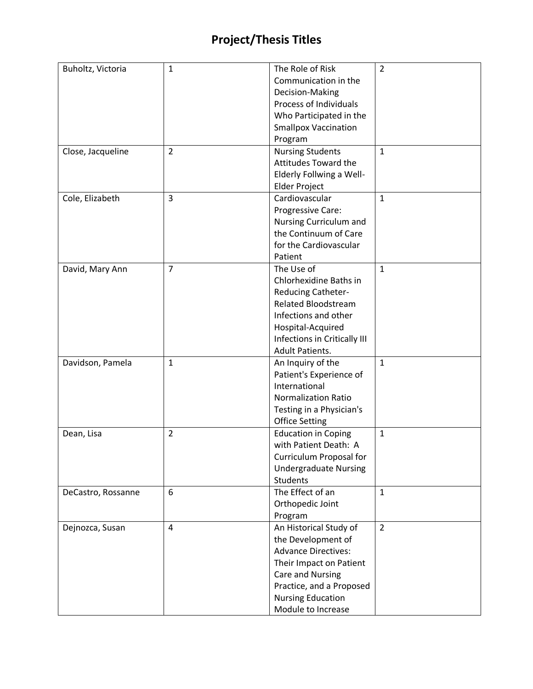| Buholtz, Victoria  | $\mathbf{1}$   | The Role of Risk                                    | $\overline{2}$ |
|--------------------|----------------|-----------------------------------------------------|----------------|
|                    |                | Communication in the                                |                |
|                    |                | Decision-Making                                     |                |
|                    |                | Process of Individuals                              |                |
|                    |                |                                                     |                |
|                    |                | Who Participated in the                             |                |
|                    |                | <b>Smallpox Vaccination</b>                         |                |
|                    |                | Program                                             |                |
| Close, Jacqueline  | $\overline{2}$ | <b>Nursing Students</b>                             | $\mathbf{1}$   |
|                    |                | Attitudes Toward the                                |                |
|                    |                | Elderly Follwing a Well-                            |                |
|                    |                | <b>Elder Project</b>                                |                |
| Cole, Elizabeth    | 3              | Cardiovascular                                      | $\mathbf{1}$   |
|                    |                | Progressive Care:                                   |                |
|                    |                | Nursing Curriculum and                              |                |
|                    |                | the Continuum of Care                               |                |
|                    |                | for the Cardiovascular                              |                |
|                    |                | Patient                                             |                |
| David, Mary Ann    | $\overline{7}$ | The Use of                                          | $\mathbf{1}$   |
|                    |                | Chlorhexidine Baths in                              |                |
|                    |                | Reducing Catheter-                                  |                |
|                    |                | <b>Related Bloodstream</b>                          |                |
|                    |                | Infections and other                                |                |
|                    |                | Hospital-Acquired                                   |                |
|                    |                | Infections in Critically III                        |                |
|                    |                | <b>Adult Patients.</b>                              |                |
| Davidson, Pamela   | $\mathbf{1}$   | An Inquiry of the                                   | $\mathbf{1}$   |
|                    |                | Patient's Experience of                             |                |
|                    |                | International                                       |                |
|                    |                | <b>Normalization Ratio</b>                          |                |
|                    |                | Testing in a Physician's                            |                |
|                    |                | <b>Office Setting</b>                               |                |
|                    | $\overline{2}$ |                                                     | $\mathbf{1}$   |
| Dean, Lisa         |                | <b>Education in Coping</b><br>with Patient Death: A |                |
|                    |                |                                                     |                |
|                    |                | <b>Curriculum Proposal for</b>                      |                |
|                    |                | <b>Undergraduate Nursing</b>                        |                |
|                    |                | <b>Students</b>                                     |                |
| DeCastro, Rossanne | 6              | The Effect of an                                    | $\mathbf{1}$   |
|                    |                | Orthopedic Joint                                    |                |
|                    |                | Program                                             |                |
| Dejnozca, Susan    | 4              | An Historical Study of                              | $\overline{2}$ |
|                    |                | the Development of                                  |                |
|                    |                | <b>Advance Directives:</b>                          |                |
|                    |                | Their Impact on Patient                             |                |
|                    |                | Care and Nursing                                    |                |
|                    |                | Practice, and a Proposed                            |                |
|                    |                | <b>Nursing Education</b>                            |                |
|                    |                | Module to Increase                                  |                |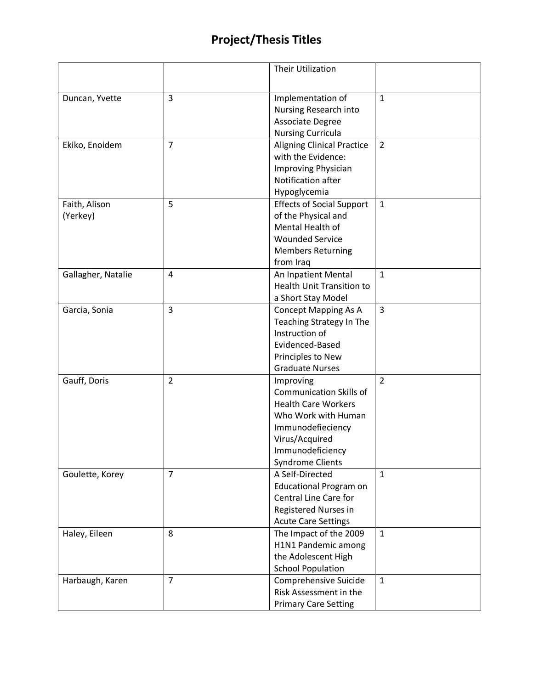|                    |                | Their Utilization                 |                |
|--------------------|----------------|-----------------------------------|----------------|
|                    |                |                                   |                |
|                    | $\overline{3}$ | Implementation of                 | $\mathbf{1}$   |
| Duncan, Yvette     |                | Nursing Research into             |                |
|                    |                | <b>Associate Degree</b>           |                |
|                    |                | <b>Nursing Curricula</b>          |                |
| Ekiko, Enoidem     | $\overline{7}$ | <b>Aligning Clinical Practice</b> | $\overline{2}$ |
|                    |                | with the Evidence:                |                |
|                    |                | Improving Physician               |                |
|                    |                | Notification after                |                |
|                    |                | Hypoglycemia                      |                |
| Faith, Alison      | 5              | <b>Effects of Social Support</b>  | $\mathbf{1}$   |
| (Yerkey)           |                | of the Physical and               |                |
|                    |                | Mental Health of                  |                |
|                    |                | <b>Wounded Service</b>            |                |
|                    |                | <b>Members Returning</b>          |                |
|                    |                | from Iraq                         |                |
| Gallagher, Natalie | $\overline{4}$ | An Inpatient Mental               | $\mathbf{1}$   |
|                    |                | <b>Health Unit Transition to</b>  |                |
|                    |                | a Short Stay Model                |                |
| Garcia, Sonia      | $\overline{3}$ | <b>Concept Mapping As A</b>       | 3              |
|                    |                | Teaching Strategy In The          |                |
|                    |                | Instruction of                    |                |
|                    |                | Evidenced-Based                   |                |
|                    |                | Principles to New                 |                |
|                    |                | <b>Graduate Nurses</b>            |                |
| Gauff, Doris       | $\overline{2}$ | Improving                         | $\overline{2}$ |
|                    |                | <b>Communication Skills of</b>    |                |
|                    |                | <b>Health Care Workers</b>        |                |
|                    |                | Who Work with Human               |                |
|                    |                | Immunodefieciency                 |                |
|                    |                | Virus/Acquired                    |                |
|                    |                | Immunodeficiency                  |                |
|                    |                | <b>Syndrome Clients</b>           |                |
| Goulette, Korey    | $\overline{7}$ | A Self-Directed                   | $\mathbf{1}$   |
|                    |                | <b>Educational Program on</b>     |                |
|                    |                | Central Line Care for             |                |
|                    |                | Registered Nurses in              |                |
|                    |                | <b>Acute Care Settings</b>        |                |
| Haley, Eileen      | 8              | The Impact of the 2009            | $\mathbf{1}$   |
|                    |                | H1N1 Pandemic among               |                |
|                    |                | the Adolescent High               |                |
|                    |                | <b>School Population</b>          |                |
| Harbaugh, Karen    | $\overline{7}$ | Comprehensive Suicide             | $\mathbf{1}$   |
|                    |                | Risk Assessment in the            |                |
|                    |                | <b>Primary Care Setting</b>       |                |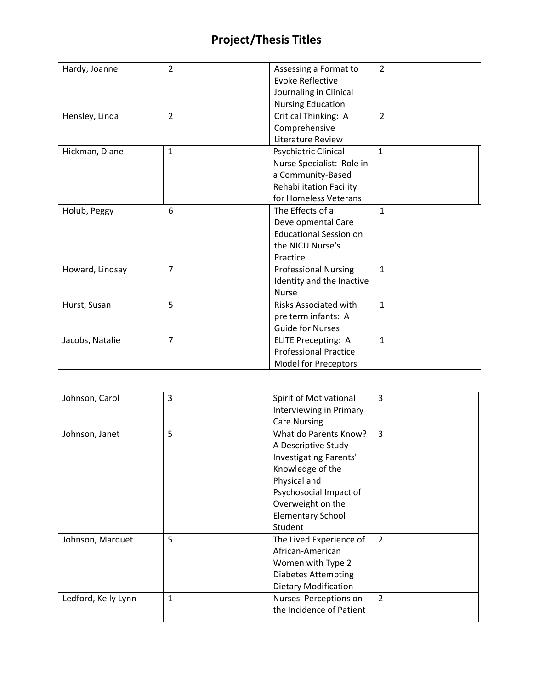| Hardy, Joanne   | $\overline{2}$ | Assessing a Format to          | $\overline{2}$ |
|-----------------|----------------|--------------------------------|----------------|
|                 |                | <b>Evoke Reflective</b>        |                |
|                 |                | Journaling in Clinical         |                |
|                 |                | <b>Nursing Education</b>       |                |
|                 | $\overline{2}$ | Critical Thinking: A           | $\overline{2}$ |
| Hensley, Linda  |                |                                |                |
|                 |                | Comprehensive                  |                |
|                 |                | Literature Review              |                |
| Hickman, Diane  | $\mathbf{1}$   | Psychiatric Clinical           | $\mathbf{1}$   |
|                 |                | Nurse Specialist: Role in      |                |
|                 |                | a Community-Based              |                |
|                 |                | <b>Rehabilitation Facility</b> |                |
|                 |                | for Homeless Veterans          |                |
| Holub, Peggy    | 6              | The Effects of a               | $\mathbf{1}$   |
|                 |                | Developmental Care             |                |
|                 |                | <b>Educational Session on</b>  |                |
|                 |                | the NICU Nurse's               |                |
|                 |                | Practice                       |                |
| Howard, Lindsay | $\overline{7}$ | <b>Professional Nursing</b>    | $\mathbf{1}$   |
|                 |                | Identity and the Inactive      |                |
|                 |                | <b>Nurse</b>                   |                |
| Hurst, Susan    | 5              | <b>Risks Associated with</b>   | $\mathbf{1}$   |
|                 |                | pre term infants: A            |                |
|                 |                | <b>Guide for Nurses</b>        |                |
| Jacobs, Natalie | $\overline{7}$ | <b>ELITE Precepting: A</b>     | 1              |
|                 |                | <b>Professional Practice</b>   |                |
|                 |                | <b>Model for Preceptors</b>    |                |

| Johnson, Carol      | 3 | Spirit of Motivational      | 3              |
|---------------------|---|-----------------------------|----------------|
|                     |   | Interviewing in Primary     |                |
|                     |   | <b>Care Nursing</b>         |                |
| Johnson, Janet      | 5 | What do Parents Know?       | 3              |
|                     |   | A Descriptive Study         |                |
|                     |   | Investigating Parents'      |                |
|                     |   | Knowledge of the            |                |
|                     |   | Physical and                |                |
|                     |   | Psychosocial Impact of      |                |
|                     |   | Overweight on the           |                |
|                     |   | <b>Elementary School</b>    |                |
|                     |   | Student                     |                |
| Johnson, Marquet    | 5 | The Lived Experience of     | $\overline{2}$ |
|                     |   | African-American            |                |
|                     |   | Women with Type 2           |                |
|                     |   | <b>Diabetes Attempting</b>  |                |
|                     |   | <b>Dietary Modification</b> |                |
| Ledford, Kelly Lynn | 1 | Nurses' Perceptions on      | $\overline{2}$ |
|                     |   | the Incidence of Patient    |                |
|                     |   |                             |                |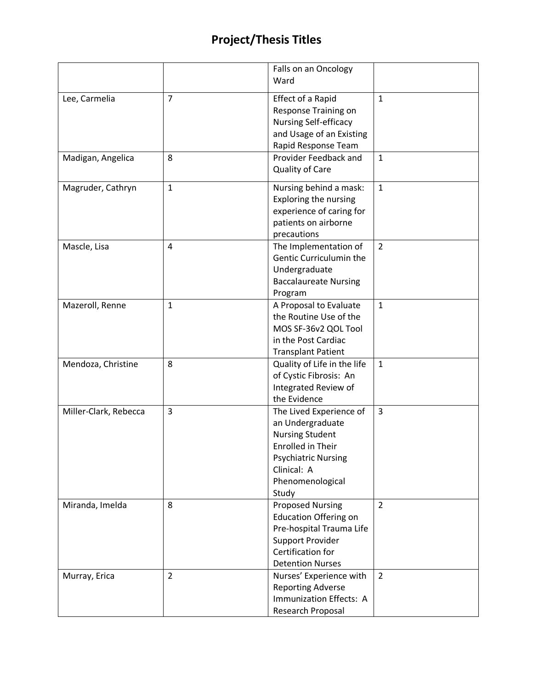|                       |                | Falls on an Oncology<br>Ward                                                                                                                                                |                |
|-----------------------|----------------|-----------------------------------------------------------------------------------------------------------------------------------------------------------------------------|----------------|
| Lee, Carmelia         | $\overline{7}$ | Effect of a Rapid<br>Response Training on<br><b>Nursing Self-efficacy</b><br>and Usage of an Existing<br>Rapid Response Team                                                | $\mathbf{1}$   |
| Madigan, Angelica     | 8              | Provider Feedback and<br><b>Quality of Care</b>                                                                                                                             | $\mathbf 1$    |
| Magruder, Cathryn     | $\mathbf{1}$   | Nursing behind a mask:<br>Exploring the nursing<br>experience of caring for<br>patients on airborne<br>precautions                                                          | $\mathbf{1}$   |
| Mascle, Lisa          | 4              | The Implementation of<br>Gentic Curriculumin the<br>Undergraduate<br><b>Baccalaureate Nursing</b><br>Program                                                                | $\overline{2}$ |
| Mazeroll, Renne       | $\mathbf{1}$   | A Proposal to Evaluate<br>the Routine Use of the<br>MOS SF-36v2 QOL Tool<br>in the Post Cardiac<br><b>Transplant Patient</b>                                                | $\mathbf{1}$   |
| Mendoza, Christine    | 8              | Quality of Life in the life<br>of Cystic Fibrosis: An<br>Integrated Review of<br>the Evidence                                                                               | $\mathbf{1}$   |
| Miller-Clark, Rebecca | 3              | The Lived Experience of<br>an Undergraduate<br><b>Nursing Student</b><br><b>Enrolled in Their</b><br><b>Psychiatric Nursing</b><br>Clinical: A<br>Phenomenological<br>Study | 3              |
| Miranda, Imelda       | 8              | <b>Proposed Nursing</b><br><b>Education Offering on</b><br>Pre-hospital Trauma Life<br><b>Support Provider</b><br>Certification for<br><b>Detention Nurses</b>              | $\overline{2}$ |
| Murray, Erica         | $\overline{2}$ | Nurses' Experience with<br><b>Reporting Adverse</b><br>Immunization Effects: A<br>Research Proposal                                                                         | $\overline{2}$ |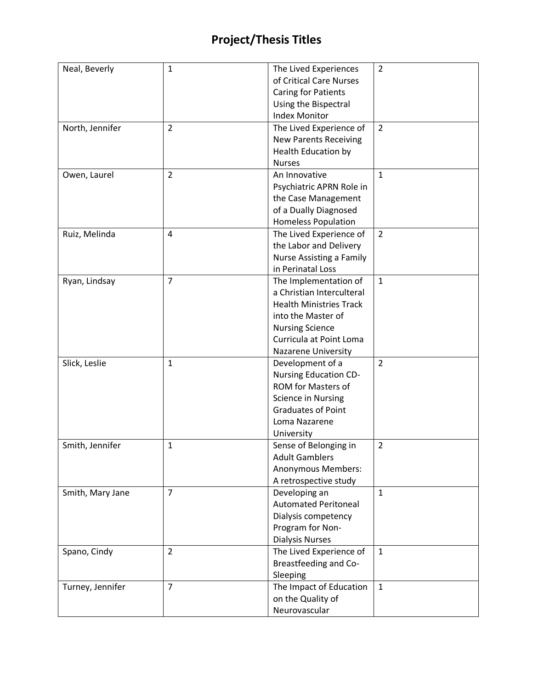| Neal, Beverly    | $\mathbf{1}$   | The Lived Experiences          | $\overline{2}$ |
|------------------|----------------|--------------------------------|----------------|
|                  |                | of Critical Care Nurses        |                |
|                  |                | <b>Caring for Patients</b>     |                |
|                  |                | Using the Bispectral           |                |
|                  |                | <b>Index Monitor</b>           |                |
| North, Jennifer  | $\overline{2}$ | The Lived Experience of        | $\overline{2}$ |
|                  |                |                                |                |
|                  |                | <b>New Parents Receiving</b>   |                |
|                  |                | <b>Health Education by</b>     |                |
|                  |                | <b>Nurses</b>                  |                |
| Owen, Laurel     | $\overline{2}$ | An Innovative                  | $\mathbf{1}$   |
|                  |                | Psychiatric APRN Role in       |                |
|                  |                | the Case Management            |                |
|                  |                | of a Dually Diagnosed          |                |
|                  |                | <b>Homeless Population</b>     |                |
| Ruiz, Melinda    | 4              | The Lived Experience of        | $\overline{2}$ |
|                  |                | the Labor and Delivery         |                |
|                  |                | Nurse Assisting a Family       |                |
|                  |                | in Perinatal Loss              |                |
| Ryan, Lindsay    | $\overline{7}$ | The Implementation of          | $\mathbf{1}$   |
|                  |                | a Christian Interculteral      |                |
|                  |                | <b>Health Ministries Track</b> |                |
|                  |                | into the Master of             |                |
|                  |                | <b>Nursing Science</b>         |                |
|                  |                | Curricula at Point Loma        |                |
|                  |                | <b>Nazarene University</b>     |                |
| Slick, Leslie    | $\mathbf{1}$   | Development of a               | $\overline{2}$ |
|                  |                | <b>Nursing Education CD-</b>   |                |
|                  |                | ROM for Masters of             |                |
|                  |                | Science in Nursing             |                |
|                  |                | <b>Graduates of Point</b>      |                |
|                  |                | Loma Nazarene                  |                |
|                  |                | University                     |                |
| Smith, Jennifer  | $\mathbf 1$    | Sense of Belonging in          | $\overline{2}$ |
|                  |                | <b>Adult Gamblers</b>          |                |
|                  |                | <b>Anonymous Members:</b>      |                |
|                  |                | A retrospective study          |                |
|                  | $\overline{7}$ |                                | $\mathbf{1}$   |
| Smith, Mary Jane |                | Developing an                  |                |
|                  |                | <b>Automated Peritoneal</b>    |                |
|                  |                | Dialysis competency            |                |
|                  |                | Program for Non-               |                |
|                  |                | <b>Dialysis Nurses</b>         |                |
| Spano, Cindy     | $\overline{2}$ | The Lived Experience of        | $\mathbf{1}$   |
|                  |                | Breastfeeding and Co-          |                |
|                  |                | Sleeping                       |                |
| Turney, Jennifer | $\overline{7}$ | The Impact of Education        | $\mathbf{1}$   |
|                  |                | on the Quality of              |                |
|                  |                | Neurovascular                  |                |